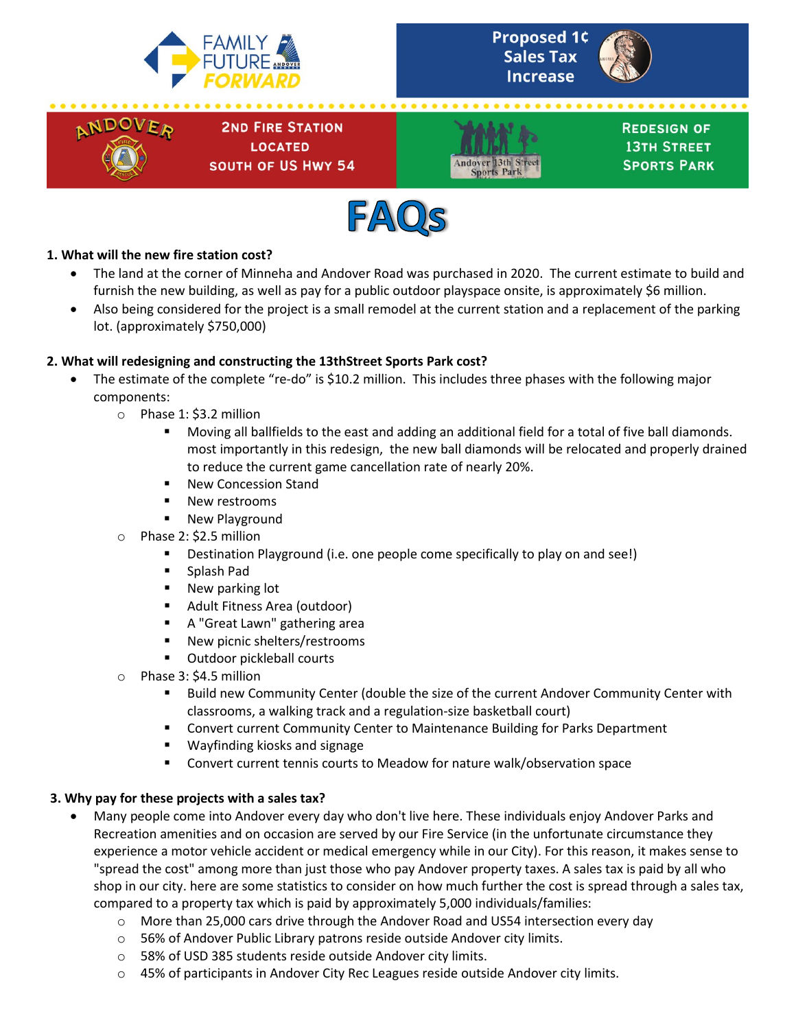





**2ND FIRE STATION LOCATED SOUTH OF US HWY 54** 



**REDESIGN OF 13TH STREET SPORTS PARK** 



## **1. What will the new fire station cost?**

- The land at the corner of Minneha and Andover Road was purchased in 2020. The current estimate to build and furnish the new building, as well as pay for a public outdoor playspace onsite, is approximately \$6 million.
- Also being considered for the project is a small remodel at the current station and a replacement of the parking lot. (approximately \$750,000)

## **2. What will redesigning and constructing the 13thStreet Sports Park cost?**

- The estimate of the complete "re-do" is \$10.2 million. This includes three phases with the following major components:
	- o Phase 1: \$3.2 million
		- Moving all ballfields to the east and adding an additional field for a total of five ball diamonds. most importantly in this redesign, the new ball diamonds will be relocated and properly drained to reduce the current game cancellation rate of nearly 20%.
		- New Concession Stand
		- New restrooms
		- New Playground
	- o Phase 2: \$2.5 million
		- Destination Playground (i.e. one people come specifically to play on and see!)
		- Splash Pad
		- **New parking lot**
		- **Adult Fitness Area (outdoor)**
		- A "Great Lawn" gathering area
		- **New picnic shelters/restrooms**
		- Outdoor pickleball courts
	- o Phase 3: \$4.5 million
		- Build new Community Center (double the size of the current Andover Community Center with classrooms, a walking track and a regulation-size basketball court)
		- **EX Convert current Community Center to Maintenance Building for Parks Department**
		- Wayfinding kiosks and signage
		- **EX Convert current tennis courts to Meadow for nature walk/observation space**

### **3. Why pay for these projects with a sales tax?**

- Many people come into Andover every day who don't live here. These individuals enjoy Andover Parks and Recreation amenities and on occasion are served by our Fire Service (in the unfortunate circumstance they experience a motor vehicle accident or medical emergency while in our City). For this reason, it makes sense to "spread the cost" among more than just those who pay Andover property taxes. A sales tax is paid by all who shop in our city. here are some statistics to consider on how much further the cost is spread through a sales tax, compared to a property tax which is paid by approximately 5,000 individuals/families:
	- o More than 25,000 cars drive through the Andover Road and US54 intersection every day
	- o 56% of Andover Public Library patrons reside outside Andover city limits.
	- o 58% of USD 385 students reside outside Andover city limits.
	- $\circ$  45% of participants in Andover City Rec Leagues reside outside Andover city limits.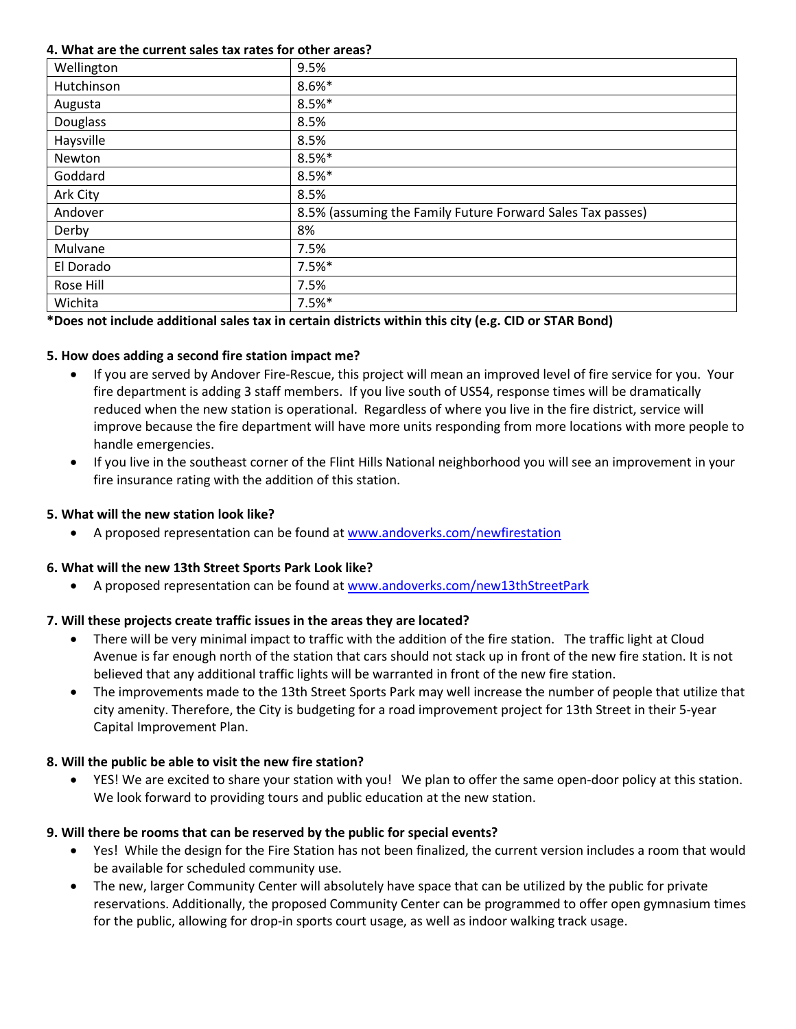#### **4. What are the current sales tax rates for other areas?**

| Wellington | 9.5%                                                       |
|------------|------------------------------------------------------------|
| Hutchinson | $8.6%$ *                                                   |
| Augusta    | $8.5%$ *                                                   |
| Douglass   | 8.5%                                                       |
| Haysville  | 8.5%                                                       |
| Newton     | $8.5%$ *                                                   |
| Goddard    | $8.5%$ *                                                   |
| Ark City   | 8.5%                                                       |
| Andover    | 8.5% (assuming the Family Future Forward Sales Tax passes) |
| Derby      | 8%                                                         |
| Mulvane    | 7.5%                                                       |
| El Dorado  | $7.5%$ *                                                   |
| Rose Hill  | 7.5%                                                       |
| Wichita    | $7.5%$ *                                                   |

# **\*Does not include additional sales tax in certain districts within this city (e.g. CID or STAR Bond)**

## **5. How does adding a second fire station impact me?**

- If you are served by Andover Fire-Rescue, this project will mean an improved level of fire service for you. Your fire department is adding 3 staff members. If you live south of US54, response times will be dramatically reduced when the new station is operational. Regardless of where you live in the fire district, service will improve because the fire department will have more units responding from more locations with more people to handle emergencies.
- If you live in the southeast corner of the Flint Hills National neighborhood you will see an improvement in your fire insurance rating with the addition of this station.

## **5. What will the new station look like?**

A proposed representation can be found a[t www.andoverks.com/newfirestation](http://www.andoverks.com/newfirestation)

# **6. What will the new 13th Street Sports Park Look like?**

• A proposed representation can be found a[t www.andoverks.com/new13thStreetPark](http://www.andoverks.com/new13thStreetPark)

# **7. Will these projects create traffic issues in the areas they are located?**

- There will be very minimal impact to traffic with the addition of the fire station. The traffic light at Cloud Avenue is far enough north of the station that cars should not stack up in front of the new fire station. It is not believed that any additional traffic lights will be warranted in front of the new fire station.
- The improvements made to the 13th Street Sports Park may well increase the number of people that utilize that city amenity. Therefore, the City is budgeting for a road improvement project for 13th Street in their 5-year Capital Improvement Plan.

# **8. Will the public be able to visit the new fire station?**

• YES! We are excited to share your station with you! We plan to offer the same open-door policy at this station. We look forward to providing tours and public education at the new station.

# **9. Will there be rooms that can be reserved by the public for special events?**

- Yes! While the design for the Fire Station has not been finalized, the current version includes a room that would be available for scheduled community use.
- The new, larger Community Center will absolutely have space that can be utilized by the public for private reservations. Additionally, the proposed Community Center can be programmed to offer open gymnasium times for the public, allowing for drop-in sports court usage, as well as indoor walking track usage.